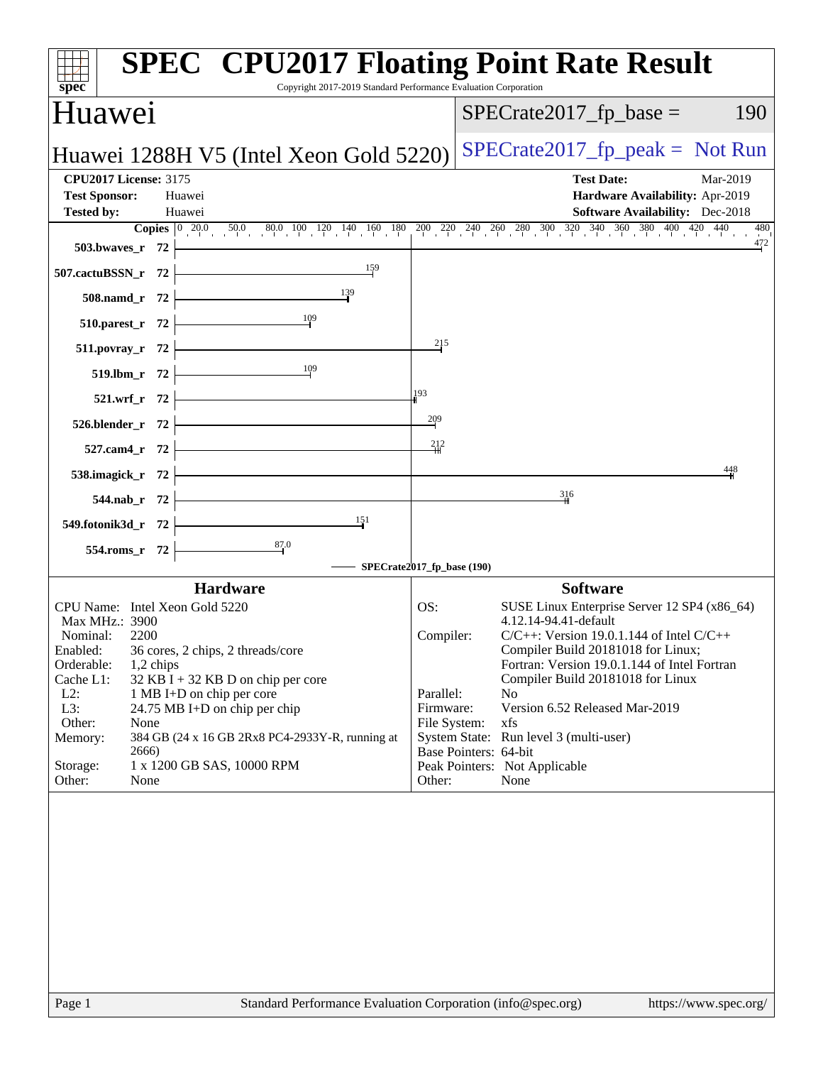| spec <sup>®</sup>                                                                                                                                                                                                                                                                                              | <b>SPEC<sup>®</sup> CPU2017 Floating Point Rate Result</b><br>Copyright 2017-2019 Standard Performance Evaluation Corporation                                                                  |
|----------------------------------------------------------------------------------------------------------------------------------------------------------------------------------------------------------------------------------------------------------------------------------------------------------------|------------------------------------------------------------------------------------------------------------------------------------------------------------------------------------------------|
| Huawei                                                                                                                                                                                                                                                                                                         | $SPECrate2017_fp\_base =$<br>190                                                                                                                                                               |
| Huawei 1288H V5 (Intel Xeon Gold 5220)                                                                                                                                                                                                                                                                         | $SPECrate2017_fp\_peak = Not Run$                                                                                                                                                              |
| <b>CPU2017 License: 3175</b><br><b>Test Sponsor:</b><br>Huawei                                                                                                                                                                                                                                                 | <b>Test Date:</b><br>Mar-2019<br>Hardware Availability: Apr-2019                                                                                                                               |
| <b>Tested by:</b><br>Huawei                                                                                                                                                                                                                                                                                    | <b>Software Availability:</b> Dec-2018                                                                                                                                                         |
| 503.bwaves_r $72$ $\vdash$                                                                                                                                                                                                                                                                                     | <b>Copies</b> $\begin{bmatrix} 0 & 20.0 & 50.0 & 80.0 & 100 & 120 & 140 & 160 & 180 & 200 & 220 & 240 & 260 & 280 & 300 & 320 & 340 & 360 & 380 & 400 & 420 & 440 \end{bmatrix}$<br>480<br>472 |
| 507.cactuBSSN_r $72$                                                                                                                                                                                                                                                                                           |                                                                                                                                                                                                |
| 508.namd_r 72 $\frac{139}{1}$                                                                                                                                                                                                                                                                                  |                                                                                                                                                                                                |
| $\begin{array}{c c} \hline & 109 \\ \hline \end{array}$<br>510.parest_r $72$ $\vdash$                                                                                                                                                                                                                          | 215                                                                                                                                                                                            |
| 511.povray_r $72$ –<br>$\frac{109}{2}$<br>519.lbm_r $72$ $\vdash$                                                                                                                                                                                                                                              |                                                                                                                                                                                                |
| $521.wrf_r 72$                                                                                                                                                                                                                                                                                                 | 193                                                                                                                                                                                            |
| $526. \text{blender}_r$ 72                                                                                                                                                                                                                                                                                     | $\frac{209}{1}$                                                                                                                                                                                |
| $527$ .cam4_r 72                                                                                                                                                                                                                                                                                               | $-212$                                                                                                                                                                                         |
| 538.imagick_r $72$ $\overline{\phantom{1}}$                                                                                                                                                                                                                                                                    | 448                                                                                                                                                                                            |
| 544.nab_r 72<br>549.fotonik3d_r 72<br>$\begin{array}{ c c c }\n\hline\n&-349.5000 & 151 \\ \hline\n&-349.5000 & 151 \\ \hline\n&-349.5000 & 151 \\ \hline\n&-349.5000 & 151 \\ \hline\n&-349.5000 & 151 \\ \hline\n&-349.5000 & 151 \\ \hline\n&-349.5000 & 151 \\ \hline\n&-349.5000 & 151 \\ \hline\n&-349.$ | 316                                                                                                                                                                                            |
|                                                                                                                                                                                                                                                                                                                |                                                                                                                                                                                                |
| 554.roms_r 72                                                                                                                                                                                                                                                                                                  |                                                                                                                                                                                                |
|                                                                                                                                                                                                                                                                                                                | - SPECrate2017_fp_base (190)                                                                                                                                                                   |
| <b>Hardware</b>                                                                                                                                                                                                                                                                                                | <b>Software</b>                                                                                                                                                                                |
| CPU Name: Intel Xeon Gold 5220                                                                                                                                                                                                                                                                                 | OS:<br>SUSE Linux Enterprise Server 12 SP4 (x86_64)                                                                                                                                            |
| Max MHz.: 3900                                                                                                                                                                                                                                                                                                 | 4.12.14-94.41-default                                                                                                                                                                          |
| Nominal:<br>2200                                                                                                                                                                                                                                                                                               | $C/C++$ : Version 19.0.1.144 of Intel $C/C++$<br>Compiler:                                                                                                                                     |
| Enabled: 36 cores, 2 chips, 2 threads/core<br>Orderable:<br>$1,2$ chips                                                                                                                                                                                                                                        | Compiler Build 20181018 for Linux:<br>Fortran: Version 19.0.1.144 of Intel Fortran                                                                                                             |
| Cache L1:<br>$32$ KB I + 32 KB D on chip per core                                                                                                                                                                                                                                                              | Compiler Build 20181018 for Linux                                                                                                                                                              |
| $L2$ :<br>1 MB I+D on chip per core                                                                                                                                                                                                                                                                            | Parallel:<br>No                                                                                                                                                                                |
| L3:<br>24.75 MB I+D on chip per chip                                                                                                                                                                                                                                                                           | Version 6.52 Released Mar-2019<br>Firmware:                                                                                                                                                    |
| Other:<br>None                                                                                                                                                                                                                                                                                                 | File System:<br>xfs                                                                                                                                                                            |
| Memory:<br>384 GB (24 x 16 GB 2Rx8 PC4-2933Y-R, running at                                                                                                                                                                                                                                                     | System State: Run level 3 (multi-user)                                                                                                                                                         |
| 2666)                                                                                                                                                                                                                                                                                                          | Base Pointers: 64-bit                                                                                                                                                                          |
| 1 x 1200 GB SAS, 10000 RPM<br>Storage:<br>Other:<br>None                                                                                                                                                                                                                                                       | Peak Pointers: Not Applicable<br>None<br>Other:                                                                                                                                                |
|                                                                                                                                                                                                                                                                                                                |                                                                                                                                                                                                |
| Page 1                                                                                                                                                                                                                                                                                                         | Standard Performance Evaluation Corporation (info@spec.org)<br>https://www.spec.org/                                                                                                           |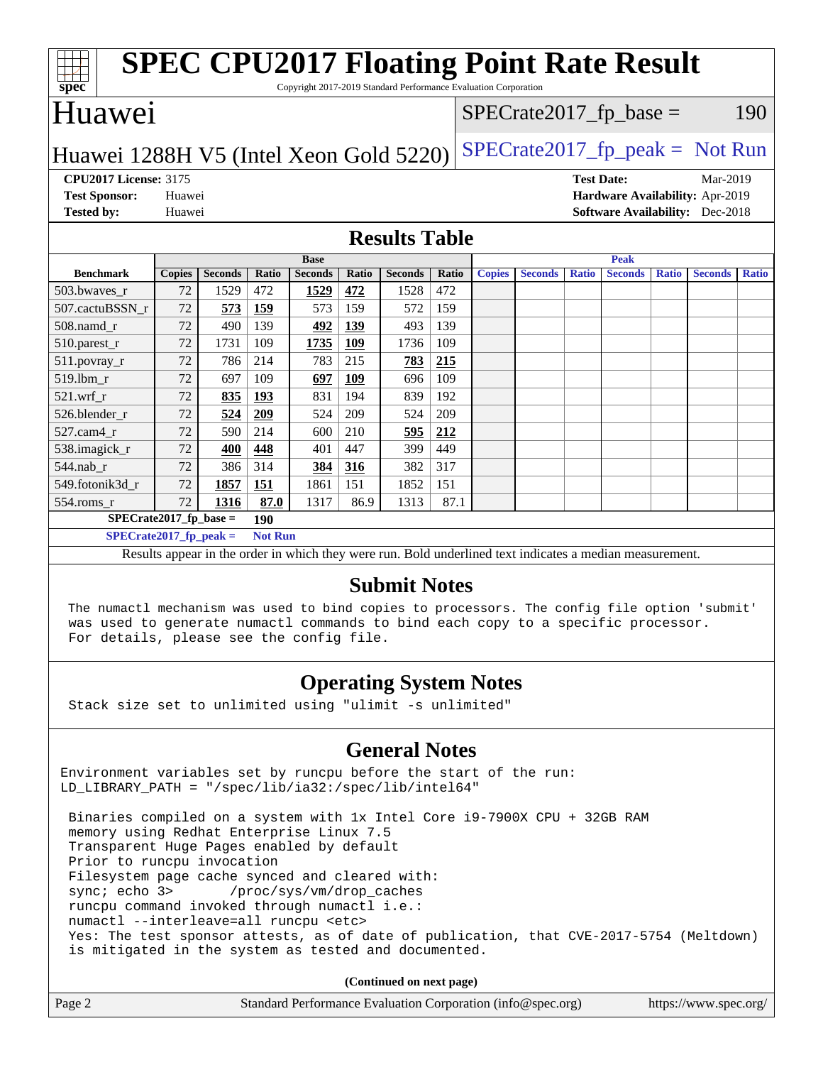| <b>SPEC CPU2017 Floating Point Rate Result</b><br>$\overrightarrow{\text{spec}}$<br>Copyright 2017-2019 Standard Performance Evaluation Corporation |               |                |                |                |       |                |                                  |                                                                                                          |                |              |                |              |                                        |              |
|-----------------------------------------------------------------------------------------------------------------------------------------------------|---------------|----------------|----------------|----------------|-------|----------------|----------------------------------|----------------------------------------------------------------------------------------------------------|----------------|--------------|----------------|--------------|----------------------------------------|--------------|
| Huawei                                                                                                                                              |               |                |                |                |       |                | $SPECrate2017_fp\_base =$<br>190 |                                                                                                          |                |              |                |              |                                        |              |
| $SPECrate2017fr peak = Not Run$<br>Huawei 1288H V5 (Intel Xeon Gold 5220)                                                                           |               |                |                |                |       |                |                                  |                                                                                                          |                |              |                |              |                                        |              |
| <b>CPU2017 License: 3175</b><br><b>Test Date:</b><br>Mar-2019                                                                                       |               |                |                |                |       |                |                                  |                                                                                                          |                |              |                |              |                                        |              |
| <b>Test Sponsor:</b>                                                                                                                                | Huawei        |                |                |                |       |                |                                  |                                                                                                          |                |              |                |              | Hardware Availability: Apr-2019        |              |
| <b>Tested by:</b>                                                                                                                                   | Huawei        |                |                |                |       |                |                                  |                                                                                                          |                |              |                |              | <b>Software Availability:</b> Dec-2018 |              |
| <b>Results Table</b>                                                                                                                                |               |                |                |                |       |                |                                  |                                                                                                          |                |              |                |              |                                        |              |
|                                                                                                                                                     |               |                |                | <b>Base</b>    |       |                |                                  |                                                                                                          |                |              | Peak           |              |                                        |              |
| <b>Benchmark</b>                                                                                                                                    | <b>Copies</b> | <b>Seconds</b> | Ratio          | <b>Seconds</b> | Ratio | <b>Seconds</b> | Ratio                            | <b>Copies</b>                                                                                            | <b>Seconds</b> | <b>Ratio</b> | <b>Seconds</b> | <b>Ratio</b> | <b>Seconds</b>                         | <b>Ratio</b> |
| 503.bwayes r                                                                                                                                        | 72            | 1529           | 472            | 1529           | 472   | 1528           | 472                              |                                                                                                          |                |              |                |              |                                        |              |
| 507.cactuBSSN_r                                                                                                                                     | 72            | 573            | 159            | 573            | 159   | 572            | 159                              |                                                                                                          |                |              |                |              |                                        |              |
| 508.namd r                                                                                                                                          | 72            | 490            | 139            | 492            | 139   | 493            | 139                              |                                                                                                          |                |              |                |              |                                        |              |
| 510.parest_r                                                                                                                                        | 72            | 1731           | 109            | 1735           | 109   | 1736           | 109                              |                                                                                                          |                |              |                |              |                                        |              |
| 511.povray_r                                                                                                                                        | 72            | 786            | 214            | 783            | 215   | 783            | 215                              |                                                                                                          |                |              |                |              |                                        |              |
| 519.lbm_r                                                                                                                                           | 72            | 697            | 109            | 697            | 109   | 696            | 109                              |                                                                                                          |                |              |                |              |                                        |              |
| 521.wrf r                                                                                                                                           | 72            | 835            | 193            | 831            | 194   | 839            | 192                              |                                                                                                          |                |              |                |              |                                        |              |
| 526.blender_r                                                                                                                                       | 72            | 524            | 209            | 524            | 209   | 524            | 209                              |                                                                                                          |                |              |                |              |                                        |              |
| 527.cam4_r                                                                                                                                          | 72            | 590            | 214            | 600            | 210   | 595            | 212                              |                                                                                                          |                |              |                |              |                                        |              |
| 538.imagick_r                                                                                                                                       | 72            | 400            | 448            | 401            | 447   | 399            | 449                              |                                                                                                          |                |              |                |              |                                        |              |
| 544.nab_r                                                                                                                                           | 72            | 386            | 314            | 384            | 316   | 382            | 317                              |                                                                                                          |                |              |                |              |                                        |              |
| 549.fotonik3d r                                                                                                                                     | 72            | 1857           | 151            | 1861           | 151   | 1852           | 151                              |                                                                                                          |                |              |                |              |                                        |              |
| 554.roms r                                                                                                                                          | 72            | 1316           | 87.0           | 1317           | 86.9  | 1313           | 87.1                             |                                                                                                          |                |              |                |              |                                        |              |
| $SPECrate2017_fp\_base =$                                                                                                                           |               |                | 190            |                |       |                |                                  |                                                                                                          |                |              |                |              |                                        |              |
| $SPECrate2017_fp\_peak =$                                                                                                                           |               |                | <b>Not Run</b> |                |       |                |                                  |                                                                                                          |                |              |                |              |                                        |              |
|                                                                                                                                                     |               |                |                |                |       |                |                                  | Results appear in the order in which they were run. Bold underlined text indicates a median measurement. |                |              |                |              |                                        |              |
| <b>Submit Notes</b>                                                                                                                                 |               |                |                |                |       |                |                                  |                                                                                                          |                |              |                |              |                                        |              |

 The numactl mechanism was used to bind copies to processors. The config file option 'submit' was used to generate numactl commands to bind each copy to a specific processor. For details, please see the config file.

## **[Operating System Notes](http://www.spec.org/auto/cpu2017/Docs/result-fields.html#OperatingSystemNotes)**

Stack size set to unlimited using "ulimit -s unlimited"

## **[General Notes](http://www.spec.org/auto/cpu2017/Docs/result-fields.html#GeneralNotes)**

Environment variables set by runcpu before the start of the run: LD\_LIBRARY\_PATH = "/spec/lib/ia32:/spec/lib/intel64"

 Binaries compiled on a system with 1x Intel Core i9-7900X CPU + 32GB RAM memory using Redhat Enterprise Linux 7.5 Transparent Huge Pages enabled by default Prior to runcpu invocation Filesystem page cache synced and cleared with: sync; echo 3> /proc/sys/vm/drop\_caches runcpu command invoked through numactl i.e.: numactl --interleave=all runcpu <etc> Yes: The test sponsor attests, as of date of publication, that CVE-2017-5754 (Meltdown) is mitigated in the system as tested and documented.

**(Continued on next page)**

|        | .                                                           |                       |
|--------|-------------------------------------------------------------|-----------------------|
| Page 2 | Standard Performance Evaluation Corporation (info@spec.org) | https://www.spec.org/ |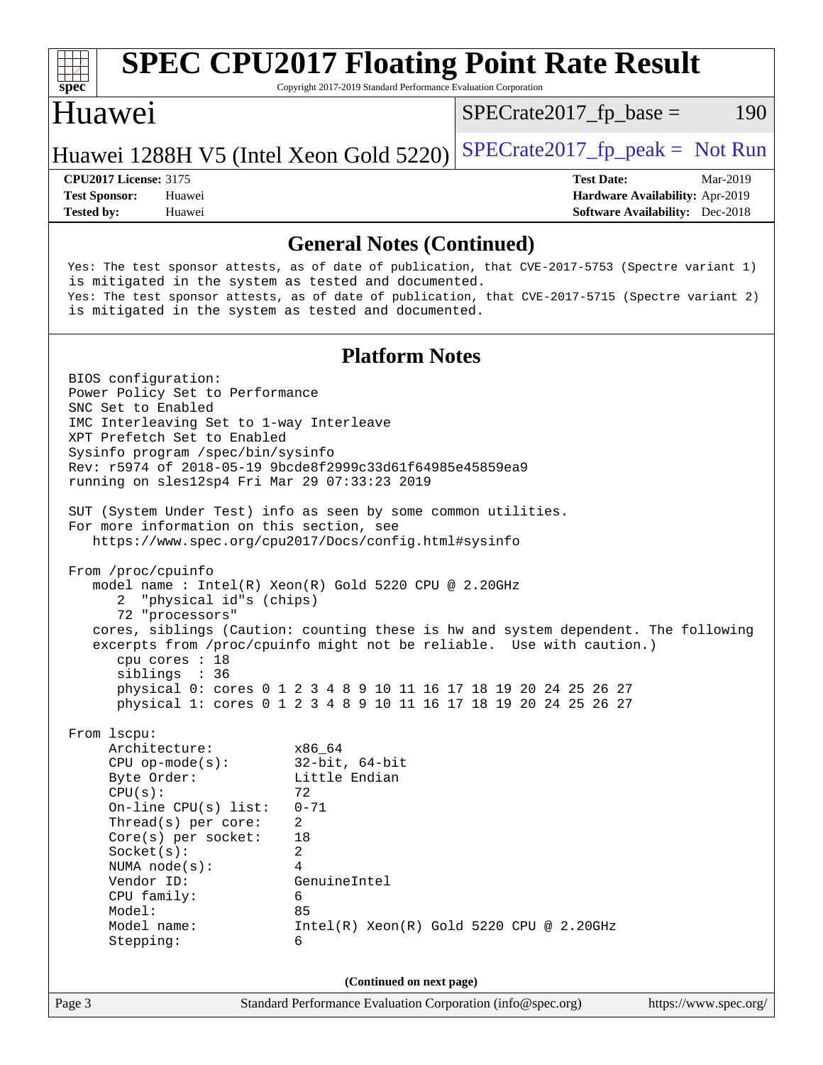# **[spec](http://www.spec.org/)**

## **[SPEC CPU2017 Floating Point Rate Result](http://www.spec.org/auto/cpu2017/Docs/result-fields.html#SPECCPU2017FloatingPointRateResult)**

Copyright 2017-2019 Standard Performance Evaluation Corporation

## Huawei

 $SPECTate2017<sub>fp</sub> base = 190$ 

#### Huawei 1288H V5 (Intel Xeon Gold 5220) SPECrate  $2017$  fp peak = Not Run

**[Tested by:](http://www.spec.org/auto/cpu2017/Docs/result-fields.html#Testedby)** Huawei **[Software Availability:](http://www.spec.org/auto/cpu2017/Docs/result-fields.html#SoftwareAvailability)** Dec-2018

**[CPU2017 License:](http://www.spec.org/auto/cpu2017/Docs/result-fields.html#CPU2017License)** 3175 **[Test Date:](http://www.spec.org/auto/cpu2017/Docs/result-fields.html#TestDate)** Mar-2019 **[Test Sponsor:](http://www.spec.org/auto/cpu2017/Docs/result-fields.html#TestSponsor)** Huawei **[Hardware Availability:](http://www.spec.org/auto/cpu2017/Docs/result-fields.html#HardwareAvailability)** Apr-2019

#### **[General Notes \(Continued\)](http://www.spec.org/auto/cpu2017/Docs/result-fields.html#GeneralNotes)**

 Yes: The test sponsor attests, as of date of publication, that CVE-2017-5753 (Spectre variant 1) is mitigated in the system as tested and documented. Yes: The test sponsor attests, as of date of publication, that CVE-2017-5715 (Spectre variant 2) is mitigated in the system as tested and documented. **[Platform Notes](http://www.spec.org/auto/cpu2017/Docs/result-fields.html#PlatformNotes)** BIOS configuration: Power Policy Set to Performance SNC Set to Enabled IMC Interleaving Set to 1-way Interleave XPT Prefetch Set to Enabled Sysinfo program /spec/bin/sysinfo Rev: r5974 of 2018-05-19 9bcde8f2999c33d61f64985e45859ea9 running on sles12sp4 Fri Mar 29 07:33:23 2019 SUT (System Under Test) info as seen by some common utilities. For more information on this section, see <https://www.spec.org/cpu2017/Docs/config.html#sysinfo> From /proc/cpuinfo model name : Intel(R) Xeon(R) Gold 5220 CPU @ 2.20GHz 2 "physical id"s (chips) 72 "processors" cores, siblings (Caution: counting these is hw and system dependent. The following excerpts from /proc/cpuinfo might not be reliable. Use with caution.) cpu cores : 18 siblings : 36 physical 0: cores 0 1 2 3 4 8 9 10 11 16 17 18 19 20 24 25 26 27 physical 1: cores 0 1 2 3 4 8 9 10 11 16 17 18 19 20 24 25 26 27 From lscpu: Architecture: x86\_64 CPU op-mode(s): 32-bit, 64-bit<br>Byte Order: Little Endian Little Endian  $CPU(s):$  72 On-line CPU(s) list: 0-71 Thread(s) per core: 2 Core(s) per socket: 18 Socket(s): 2 NUMA node(s): 4 Vendor ID: GenuineIntel CPU family: 6 Model: 85 Model name: Intel(R) Xeon(R) Gold 5220 CPU @ 2.20GHz Stepping: 6 **(Continued on next page)**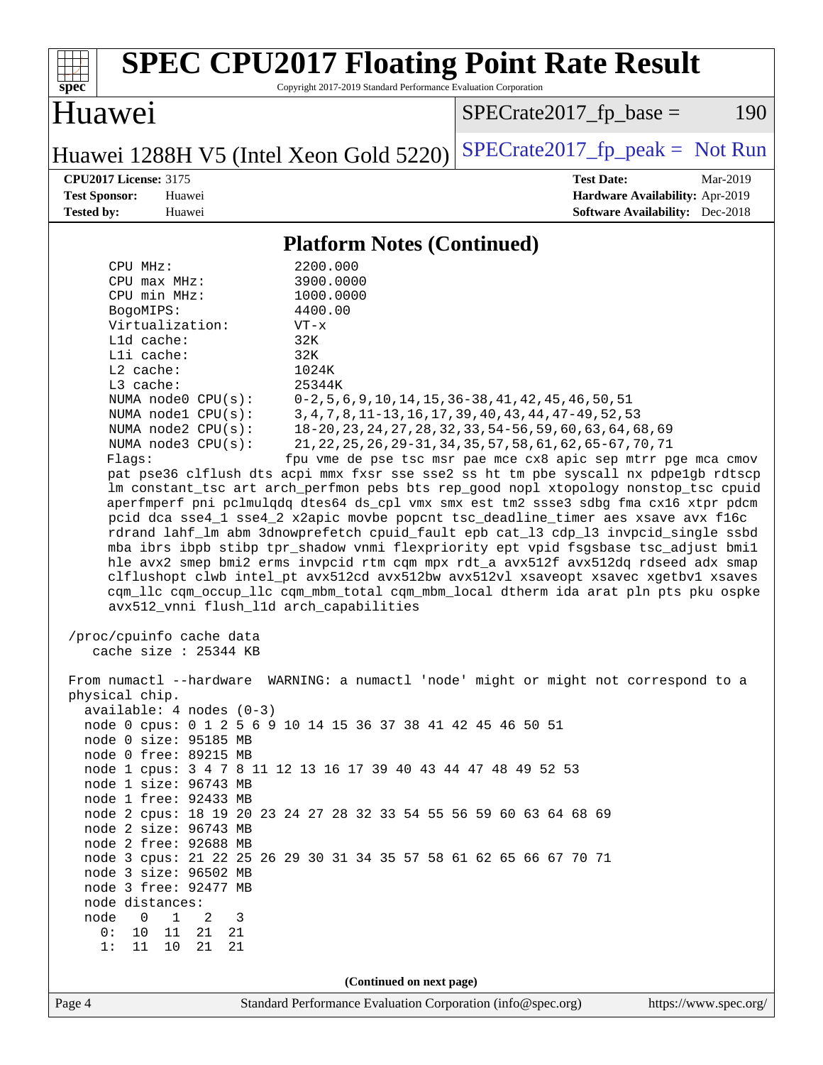| <b>SPEC CPU2017 Floating Point Rate Result</b><br>Copyright 2017-2019 Standard Performance Evaluation Corporation<br>spec <sup>®</sup>                                                                                                                                                                                                                                                                                                                                                                                                                                                                                                                                                                                                                                                                                                                                                                                                                                                                                                                                                                                                                                                                                                                                                                                               |                                                                                                                                                                                                                                                                                                                        |
|--------------------------------------------------------------------------------------------------------------------------------------------------------------------------------------------------------------------------------------------------------------------------------------------------------------------------------------------------------------------------------------------------------------------------------------------------------------------------------------------------------------------------------------------------------------------------------------------------------------------------------------------------------------------------------------------------------------------------------------------------------------------------------------------------------------------------------------------------------------------------------------------------------------------------------------------------------------------------------------------------------------------------------------------------------------------------------------------------------------------------------------------------------------------------------------------------------------------------------------------------------------------------------------------------------------------------------------|------------------------------------------------------------------------------------------------------------------------------------------------------------------------------------------------------------------------------------------------------------------------------------------------------------------------|
| Huawei                                                                                                                                                                                                                                                                                                                                                                                                                                                                                                                                                                                                                                                                                                                                                                                                                                                                                                                                                                                                                                                                                                                                                                                                                                                                                                                               | $SPECrate2017_fp\_base =$<br>190                                                                                                                                                                                                                                                                                       |
| Huawei 1288H V5 (Intel Xeon Gold 5220)                                                                                                                                                                                                                                                                                                                                                                                                                                                                                                                                                                                                                                                                                                                                                                                                                                                                                                                                                                                                                                                                                                                                                                                                                                                                                               | $SPECTate2017_fp\_peak = Not Run$                                                                                                                                                                                                                                                                                      |
| <b>CPU2017 License: 3175</b><br><b>Test Sponsor:</b><br>Huawei<br><b>Tested by:</b><br>Huawei                                                                                                                                                                                                                                                                                                                                                                                                                                                                                                                                                                                                                                                                                                                                                                                                                                                                                                                                                                                                                                                                                                                                                                                                                                        | <b>Test Date:</b><br>Mar-2019<br>Hardware Availability: Apr-2019<br><b>Software Availability:</b> Dec-2018                                                                                                                                                                                                             |
| <b>Platform Notes (Continued)</b>                                                                                                                                                                                                                                                                                                                                                                                                                                                                                                                                                                                                                                                                                                                                                                                                                                                                                                                                                                                                                                                                                                                                                                                                                                                                                                    |                                                                                                                                                                                                                                                                                                                        |
| 2200.000<br>CPU MHz:<br>3900.0000<br>CPU max MHz:<br>CPU min MHz:<br>1000.0000<br>BogoMIPS:<br>4400.00<br>Virtualization:<br>$VT - x$<br>Lld cache:<br>32K<br>Lli cache:<br>32K<br>L2 cache:<br>1024K<br>L3 cache:<br>25344K<br>NUMA node0 CPU(s):<br>NUMA node1 CPU(s):<br>NUMA node2 CPU(s):<br>NUMA $node3$ $CPU(s)$ :<br>Flagg:<br>pat pse36 clflush dts acpi mmx fxsr sse sse2 ss ht tm pbe syscall nx pdpelgb rdtscp<br>lm constant_tsc art arch_perfmon pebs bts rep_good nopl xtopology nonstop_tsc cpuid<br>aperfmperf pni pclmulqdq dtes64 ds_cpl vmx smx est tm2 ssse3 sdbg fma cx16 xtpr pdcm<br>pcid dca sse4_1 sse4_2 x2apic movbe popcnt tsc_deadline_timer aes xsave avx f16c<br>rdrand lahf_lm abm 3dnowprefetch cpuid_fault epb cat_13 cdp_13 invpcid_single ssbd<br>mba ibrs ibpb stibp tpr_shadow vnmi flexpriority ept vpid fsgsbase tsc_adjust bmil<br>hle avx2 smep bmi2 erms invpcid rtm cqm mpx rdt_a avx512f avx512dq rdseed adx smap<br>clflushopt clwb intel_pt avx512cd avx512bw avx512vl xsaveopt xsavec xgetbvl xsaves<br>cqm_llc cqm_occup_llc cqm_mbm_total cqm_mbm_local dtherm ida arat pln pts pku ospke<br>avx512_vnni flush_l1d arch_capabilities<br>/proc/cpuinfo cache data<br>cache size : 25344 KB<br>From numactl --hardware WARNING: a numactl 'node' might or might not correspond to a | $0-2, 5, 6, 9, 10, 14, 15, 36-38, 41, 42, 45, 46, 50, 51$<br>3, 4, 7, 8, 11-13, 16, 17, 39, 40, 43, 44, 47-49, 52, 53<br>18-20, 23, 24, 27, 28, 32, 33, 54-56, 59, 60, 63, 64, 68, 69<br>21, 22, 25, 26, 29-31, 34, 35, 57, 58, 61, 62, 65-67, 70, 71<br>fpu vme de pse tsc msr pae mce cx8 apic sep mtrr pge mca cmov |
| physical chip.<br>$available: 4 nodes (0-3)$<br>node 0 cpus: 0 1 2 5 6 9 10 14 15 36 37 38 41 42 45 46 50 51<br>node 0 size: 95185 MB<br>node 0 free: 89215 MB<br>node 1 cpus: 3 4 7 8 11 12 13 16 17 39 40 43 44 47 48 49 52 53<br>node 1 size: 96743 MB<br>node 1 free: 92433 MB<br>node 2 cpus: 18 19 20 23 24 27 28 32 33 54 55 56 59 60 63 64 68 69<br>node 2 size: 96743 MB<br>node 2 free: 92688 MB<br>node 3 cpus: 21 22 25 26 29 30 31 34 35 57 58 61 62 65 66 67 70 71<br>node 3 size: 96502 MB<br>node 3 free: 92477 MB<br>node distances:<br>$\overline{0}$<br>$\overline{1}$<br>2<br>$\overline{3}$<br>node<br>0: 10 11 21 21<br>11 10 21<br>21<br>1:<br>(Continued on next page)                                                                                                                                                                                                                                                                                                                                                                                                                                                                                                                                                                                                                                       |                                                                                                                                                                                                                                                                                                                        |
| Page 4<br>Standard Performance Evaluation Corporation (info@spec.org)                                                                                                                                                                                                                                                                                                                                                                                                                                                                                                                                                                                                                                                                                                                                                                                                                                                                                                                                                                                                                                                                                                                                                                                                                                                                | https://www.spec.org/                                                                                                                                                                                                                                                                                                  |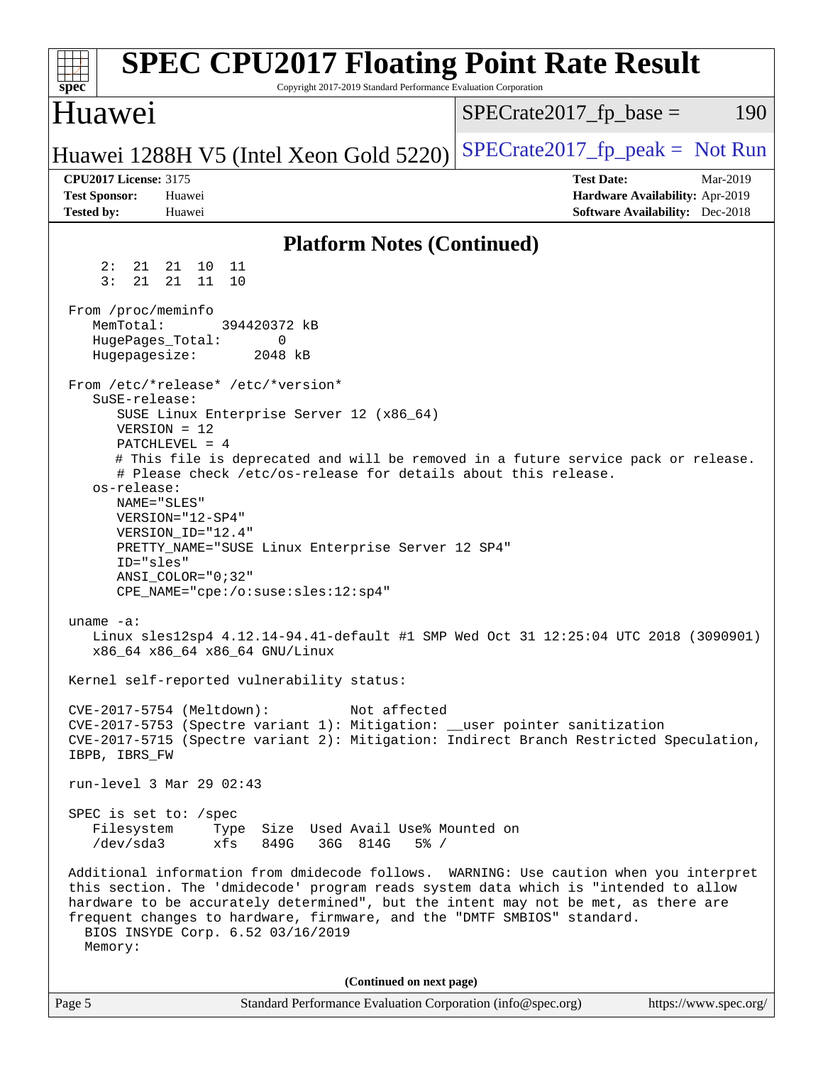| <b>SPEC CPU2017 Floating Point Rate Result</b><br>Copyright 2017-2019 Standard Performance Evaluation Corporation<br>spec <sup>®</sup>                                                                                                                                                                                                                                                                                                                                                                |                                                                                                            |
|-------------------------------------------------------------------------------------------------------------------------------------------------------------------------------------------------------------------------------------------------------------------------------------------------------------------------------------------------------------------------------------------------------------------------------------------------------------------------------------------------------|------------------------------------------------------------------------------------------------------------|
| Huawei                                                                                                                                                                                                                                                                                                                                                                                                                                                                                                | 190<br>$SPECrate2017fp base =$                                                                             |
| Huawei 1288H V5 (Intel Xeon Gold 5220)                                                                                                                                                                                                                                                                                                                                                                                                                                                                | $SPECrate2017_fp\_peak = Not Run$                                                                          |
| <b>CPU2017 License: 3175</b><br><b>Test Sponsor:</b><br>Huawei<br><b>Tested by:</b><br>Huawei                                                                                                                                                                                                                                                                                                                                                                                                         | <b>Test Date:</b><br>Mar-2019<br>Hardware Availability: Apr-2019<br><b>Software Availability:</b> Dec-2018 |
| <b>Platform Notes (Continued)</b>                                                                                                                                                                                                                                                                                                                                                                                                                                                                     |                                                                                                            |
| 2:<br>21<br>21<br>10<br>11<br>3:<br>21<br>21<br>11<br>10                                                                                                                                                                                                                                                                                                                                                                                                                                              |                                                                                                            |
| From /proc/meminfo<br>MemTotal:<br>394420372 kB<br>HugePages_Total:<br>0<br>2048 kB<br>Hugepagesize:                                                                                                                                                                                                                                                                                                                                                                                                  |                                                                                                            |
| From /etc/*release* /etc/*version*<br>SuSE-release:<br>SUSE Linux Enterprise Server 12 (x86_64)<br>$VERSION = 12$<br>PATCHLEVEL = 4<br># This file is deprecated and will be removed in a future service pack or release.<br># Please check /etc/os-release for details about this release.<br>os-release:<br>NAME="SLES"<br>VERSION="12-SP4"<br>VERSION ID="12.4"<br>PRETTY_NAME="SUSE Linux Enterprise Server 12 SP4"<br>ID="sles"<br>$ANSI\_COLOR = "0; 32"$<br>CPE_NAME="cpe:/o:suse:sles:12:sp4" |                                                                                                            |
| uname $-a$ :<br>Linux sles12sp4 4.12.14-94.41-default #1 SMP Wed Oct 31 12:25:04 UTC 2018 (3090901)<br>x86_64 x86_64 x86_64 GNU/Linux                                                                                                                                                                                                                                                                                                                                                                 |                                                                                                            |
| Kernel self-reported vulnerability status:                                                                                                                                                                                                                                                                                                                                                                                                                                                            |                                                                                                            |
| Not affected<br>CVE-2017-5754 (Meltdown):<br>CVE-2017-5753 (Spectre variant 1): Mitigation: __user pointer sanitization<br>CVE-2017-5715 (Spectre variant 2): Mitigation: Indirect Branch Restricted Speculation,<br>IBPB, IBRS_FW                                                                                                                                                                                                                                                                    |                                                                                                            |
| run-level 3 Mar 29 02:43                                                                                                                                                                                                                                                                                                                                                                                                                                                                              |                                                                                                            |
| SPEC is set to: /spec<br>Filesystem<br>Type Size Used Avail Use% Mounted on<br>36G 814G<br>/dev/sda3<br>xfs<br>849G<br>$5\%$ /                                                                                                                                                                                                                                                                                                                                                                        |                                                                                                            |
| Additional information from dmidecode follows. WARNING: Use caution when you interpret<br>this section. The 'dmidecode' program reads system data which is "intended to allow<br>hardware to be accurately determined", but the intent may not be met, as there are<br>frequent changes to hardware, firmware, and the "DMTF SMBIOS" standard.<br>BIOS INSYDE Corp. 6.52 03/16/2019<br>Memory:                                                                                                        |                                                                                                            |
| (Continued on next page)                                                                                                                                                                                                                                                                                                                                                                                                                                                                              |                                                                                                            |
| Page 5<br>Standard Performance Evaluation Corporation (info@spec.org)                                                                                                                                                                                                                                                                                                                                                                                                                                 | https://www.spec.org/                                                                                      |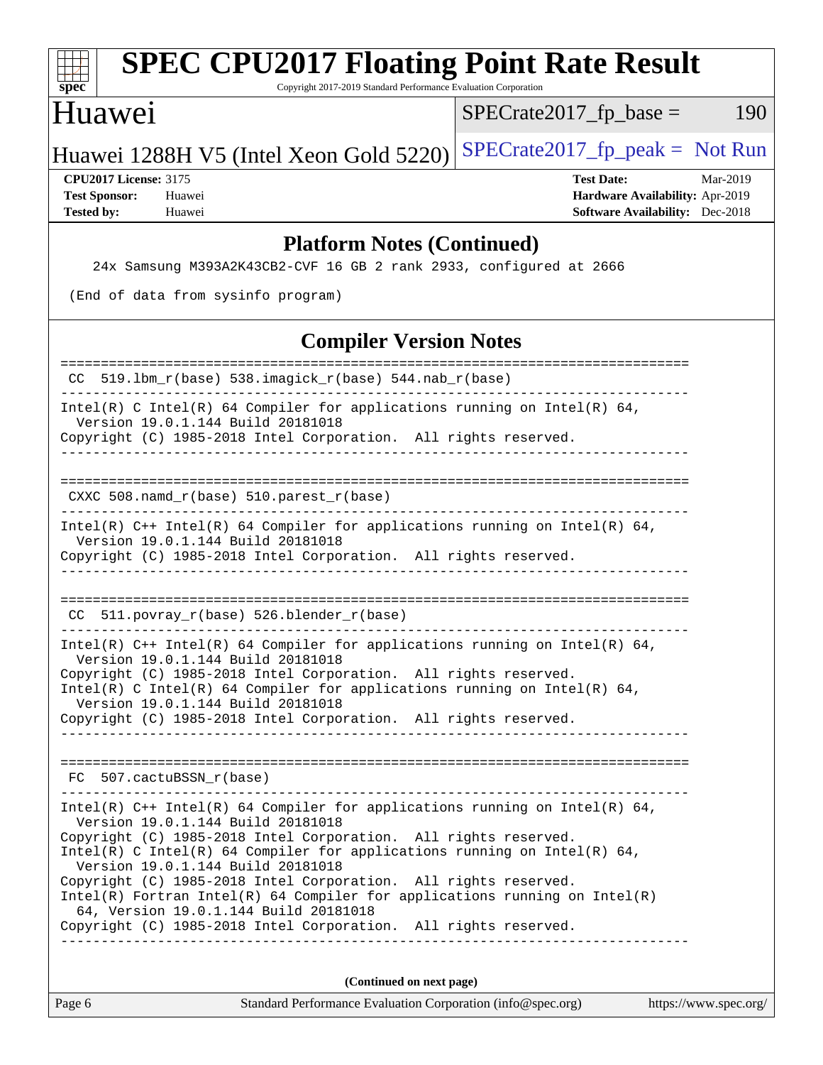| <b>SPEC CPU2017 Floating Point Rate Result</b><br>Copyright 2017-2019 Standard Performance Evaluation Corporation<br>spec <sup>®</sup>                                                                                                                                                                                                                                                                                                                   |                                                                                                     |
|----------------------------------------------------------------------------------------------------------------------------------------------------------------------------------------------------------------------------------------------------------------------------------------------------------------------------------------------------------------------------------------------------------------------------------------------------------|-----------------------------------------------------------------------------------------------------|
| Huawei                                                                                                                                                                                                                                                                                                                                                                                                                                                   | $SPECrate2017fr base =$<br>190                                                                      |
| Huawei 1288H V5 (Intel Xeon Gold 5220)                                                                                                                                                                                                                                                                                                                                                                                                                   | $SPECrate2017_fp\_peak = Not Run$                                                                   |
| <b>CPU2017 License: 3175</b><br><b>Test Sponsor:</b><br>Huawei<br><b>Tested by:</b><br>Huawei                                                                                                                                                                                                                                                                                                                                                            | <b>Test Date:</b><br>Mar-2019<br>Hardware Availability: Apr-2019<br>Software Availability: Dec-2018 |
| <b>Platform Notes (Continued)</b>                                                                                                                                                                                                                                                                                                                                                                                                                        |                                                                                                     |
| 24x Samsung M393A2K43CB2-CVF 16 GB 2 rank 2933, configured at 2666                                                                                                                                                                                                                                                                                                                                                                                       |                                                                                                     |
| (End of data from sysinfo program)                                                                                                                                                                                                                                                                                                                                                                                                                       |                                                                                                     |
| <b>Compiler Version Notes</b>                                                                                                                                                                                                                                                                                                                                                                                                                            |                                                                                                     |
| 519.1bm_r(base) 538.imagick_r(base) 544.nab_r(base)                                                                                                                                                                                                                                                                                                                                                                                                      |                                                                                                     |
| Intel(R) C Intel(R) 64 Compiler for applications running on Intel(R) 64,<br>Version 19.0.1.144 Build 20181018<br>Copyright (C) 1985-2018 Intel Corporation. All rights reserved.                                                                                                                                                                                                                                                                         |                                                                                                     |
| CXXC 508.namd_r(base) 510.parest_r(base)                                                                                                                                                                                                                                                                                                                                                                                                                 |                                                                                                     |
| Intel(R) $C++$ Intel(R) 64 Compiler for applications running on Intel(R) 64,<br>Version 19.0.1.144 Build 20181018<br>Copyright (C) 1985-2018 Intel Corporation. All rights reserved.                                                                                                                                                                                                                                                                     |                                                                                                     |
| $CC$ 511.povray $r(base)$ 526.blender $r(base)$                                                                                                                                                                                                                                                                                                                                                                                                          |                                                                                                     |
| Intel(R) $C++$ Intel(R) 64 Compiler for applications running on Intel(R) 64,<br>Version 19.0.1.144 Build 20181018<br>Copyright (C) 1985-2018 Intel Corporation. All rights reserved.<br>Intel(R) C Intel(R) 64 Compiler for applications running on Intel(R) 64,<br>Version 19.0.1.144 Build 20181018<br>Copyright (C) 1985-2018 Intel Corporation. All rights reserved.                                                                                 |                                                                                                     |
| FC 507.cactuBSSN r(base)                                                                                                                                                                                                                                                                                                                                                                                                                                 |                                                                                                     |
| Intel(R) $C++$ Intel(R) 64 Compiler for applications running on Intel(R) 64,<br>Version 19.0.1.144 Build 20181018<br>Copyright (C) 1985-2018 Intel Corporation. All rights reserved.<br>Intel(R) C Intel(R) 64 Compiler for applications running on Intel(R) 64,<br>Version 19.0.1.144 Build 20181018<br>Copyright (C) 1985-2018 Intel Corporation. All rights reserved.<br>$Intel(R)$ Fortran Intel(R) 64 Compiler for applications running on Intel(R) |                                                                                                     |
| 64, Version 19.0.1.144 Build 20181018<br>Copyright (C) 1985-2018 Intel Corporation. All rights reserved.                                                                                                                                                                                                                                                                                                                                                 |                                                                                                     |
|                                                                                                                                                                                                                                                                                                                                                                                                                                                          |                                                                                                     |
| (Continued on next page)                                                                                                                                                                                                                                                                                                                                                                                                                                 |                                                                                                     |
| Page 6<br>Standard Performance Evaluation Corporation (info@spec.org)                                                                                                                                                                                                                                                                                                                                                                                    | https://www.spec.org/                                                                               |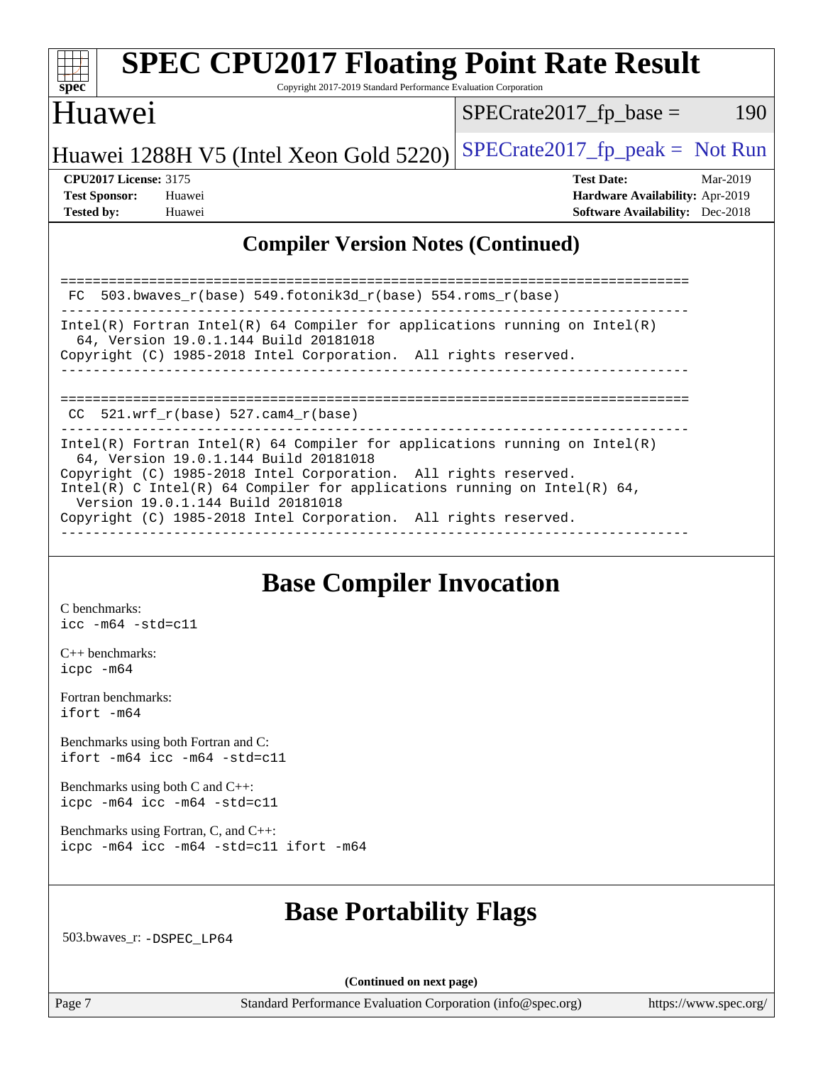

## **[SPEC CPU2017 Floating Point Rate Result](http://www.spec.org/auto/cpu2017/Docs/result-fields.html#SPECCPU2017FloatingPointRateResult)**

Copyright 2017-2019 Standard Performance Evaluation Corporation

## Huawei

 $SPECrate2017_fp\_base = 190$ 

## Huawei 1288H V5 (Intel Xeon Gold 5220) SPECrate 2017\_fp\_peak = Not Run

**[CPU2017 License:](http://www.spec.org/auto/cpu2017/Docs/result-fields.html#CPU2017License)** 3175 **[Test Date:](http://www.spec.org/auto/cpu2017/Docs/result-fields.html#TestDate)** Mar-2019 **[Test Sponsor:](http://www.spec.org/auto/cpu2017/Docs/result-fields.html#TestSponsor)** Huawei **[Hardware Availability:](http://www.spec.org/auto/cpu2017/Docs/result-fields.html#HardwareAvailability)** Apr-2019 **[Tested by:](http://www.spec.org/auto/cpu2017/Docs/result-fields.html#Testedby)** Huawei **[Software Availability:](http://www.spec.org/auto/cpu2017/Docs/result-fields.html#SoftwareAvailability)** Dec-2018

#### **[Compiler Version Notes \(Continued\)](http://www.spec.org/auto/cpu2017/Docs/result-fields.html#CompilerVersionNotes)**

| FC 503.bwaves $r(base)$ 549.fotonik3d $r(base)$ 554.roms $r(base)$                                                                                                                                                                                                                                                                                                         |
|----------------------------------------------------------------------------------------------------------------------------------------------------------------------------------------------------------------------------------------------------------------------------------------------------------------------------------------------------------------------------|
| Intel(R) Fortran Intel(R) 64 Compiler for applications running on Intel(R)<br>64, Version 19.0.1.144 Build 20181018<br>Copyright (C) 1985-2018 Intel Corporation. All rights reserved.                                                                                                                                                                                     |
| CC $521.$ wrf r(base) 527.cam4 r(base)                                                                                                                                                                                                                                                                                                                                     |
| Intel(R) Fortran Intel(R) 64 Compiler for applications running on Intel(R)<br>64, Version 19.0.1.144 Build 20181018<br>Copyright (C) 1985-2018 Intel Corporation. All rights reserved.<br>Intel(R) C Intel(R) 64 Compiler for applications running on Intel(R) 64,<br>Version 19.0.1.144 Build 20181018<br>Copyright (C) 1985-2018 Intel Corporation. All rights reserved. |

## **[Base Compiler Invocation](http://www.spec.org/auto/cpu2017/Docs/result-fields.html#BaseCompilerInvocation)**

[C benchmarks](http://www.spec.org/auto/cpu2017/Docs/result-fields.html#Cbenchmarks): [icc -m64 -std=c11](http://www.spec.org/cpu2017/results/res2019q2/cpu2017-20190425-12254.flags.html#user_CCbase_intel_icc_64bit_c11_33ee0cdaae7deeeab2a9725423ba97205ce30f63b9926c2519791662299b76a0318f32ddfffdc46587804de3178b4f9328c46fa7c2b0cd779d7a61945c91cd35)

[C++ benchmarks:](http://www.spec.org/auto/cpu2017/Docs/result-fields.html#CXXbenchmarks) [icpc -m64](http://www.spec.org/cpu2017/results/res2019q2/cpu2017-20190425-12254.flags.html#user_CXXbase_intel_icpc_64bit_4ecb2543ae3f1412ef961e0650ca070fec7b7afdcd6ed48761b84423119d1bf6bdf5cad15b44d48e7256388bc77273b966e5eb805aefd121eb22e9299b2ec9d9)

[Fortran benchmarks](http://www.spec.org/auto/cpu2017/Docs/result-fields.html#Fortranbenchmarks): [ifort -m64](http://www.spec.org/cpu2017/results/res2019q2/cpu2017-20190425-12254.flags.html#user_FCbase_intel_ifort_64bit_24f2bb282fbaeffd6157abe4f878425411749daecae9a33200eee2bee2fe76f3b89351d69a8130dd5949958ce389cf37ff59a95e7a40d588e8d3a57e0c3fd751)

[Benchmarks using both Fortran and C](http://www.spec.org/auto/cpu2017/Docs/result-fields.html#BenchmarksusingbothFortranandC): [ifort -m64](http://www.spec.org/cpu2017/results/res2019q2/cpu2017-20190425-12254.flags.html#user_CC_FCbase_intel_ifort_64bit_24f2bb282fbaeffd6157abe4f878425411749daecae9a33200eee2bee2fe76f3b89351d69a8130dd5949958ce389cf37ff59a95e7a40d588e8d3a57e0c3fd751) [icc -m64 -std=c11](http://www.spec.org/cpu2017/results/res2019q2/cpu2017-20190425-12254.flags.html#user_CC_FCbase_intel_icc_64bit_c11_33ee0cdaae7deeeab2a9725423ba97205ce30f63b9926c2519791662299b76a0318f32ddfffdc46587804de3178b4f9328c46fa7c2b0cd779d7a61945c91cd35)

[Benchmarks using both C and C++](http://www.spec.org/auto/cpu2017/Docs/result-fields.html#BenchmarksusingbothCandCXX): [icpc -m64](http://www.spec.org/cpu2017/results/res2019q2/cpu2017-20190425-12254.flags.html#user_CC_CXXbase_intel_icpc_64bit_4ecb2543ae3f1412ef961e0650ca070fec7b7afdcd6ed48761b84423119d1bf6bdf5cad15b44d48e7256388bc77273b966e5eb805aefd121eb22e9299b2ec9d9) [icc -m64 -std=c11](http://www.spec.org/cpu2017/results/res2019q2/cpu2017-20190425-12254.flags.html#user_CC_CXXbase_intel_icc_64bit_c11_33ee0cdaae7deeeab2a9725423ba97205ce30f63b9926c2519791662299b76a0318f32ddfffdc46587804de3178b4f9328c46fa7c2b0cd779d7a61945c91cd35)

[Benchmarks using Fortran, C, and C++:](http://www.spec.org/auto/cpu2017/Docs/result-fields.html#BenchmarksusingFortranCandCXX) [icpc -m64](http://www.spec.org/cpu2017/results/res2019q2/cpu2017-20190425-12254.flags.html#user_CC_CXX_FCbase_intel_icpc_64bit_4ecb2543ae3f1412ef961e0650ca070fec7b7afdcd6ed48761b84423119d1bf6bdf5cad15b44d48e7256388bc77273b966e5eb805aefd121eb22e9299b2ec9d9) [icc -m64 -std=c11](http://www.spec.org/cpu2017/results/res2019q2/cpu2017-20190425-12254.flags.html#user_CC_CXX_FCbase_intel_icc_64bit_c11_33ee0cdaae7deeeab2a9725423ba97205ce30f63b9926c2519791662299b76a0318f32ddfffdc46587804de3178b4f9328c46fa7c2b0cd779d7a61945c91cd35) [ifort -m64](http://www.spec.org/cpu2017/results/res2019q2/cpu2017-20190425-12254.flags.html#user_CC_CXX_FCbase_intel_ifort_64bit_24f2bb282fbaeffd6157abe4f878425411749daecae9a33200eee2bee2fe76f3b89351d69a8130dd5949958ce389cf37ff59a95e7a40d588e8d3a57e0c3fd751)

## **[Base Portability Flags](http://www.spec.org/auto/cpu2017/Docs/result-fields.html#BasePortabilityFlags)**

503.bwaves\_r: [-DSPEC\\_LP64](http://www.spec.org/cpu2017/results/res2019q2/cpu2017-20190425-12254.flags.html#suite_basePORTABILITY503_bwaves_r_DSPEC_LP64)

**(Continued on next page)**

Page 7 Standard Performance Evaluation Corporation [\(info@spec.org\)](mailto:info@spec.org) <https://www.spec.org/>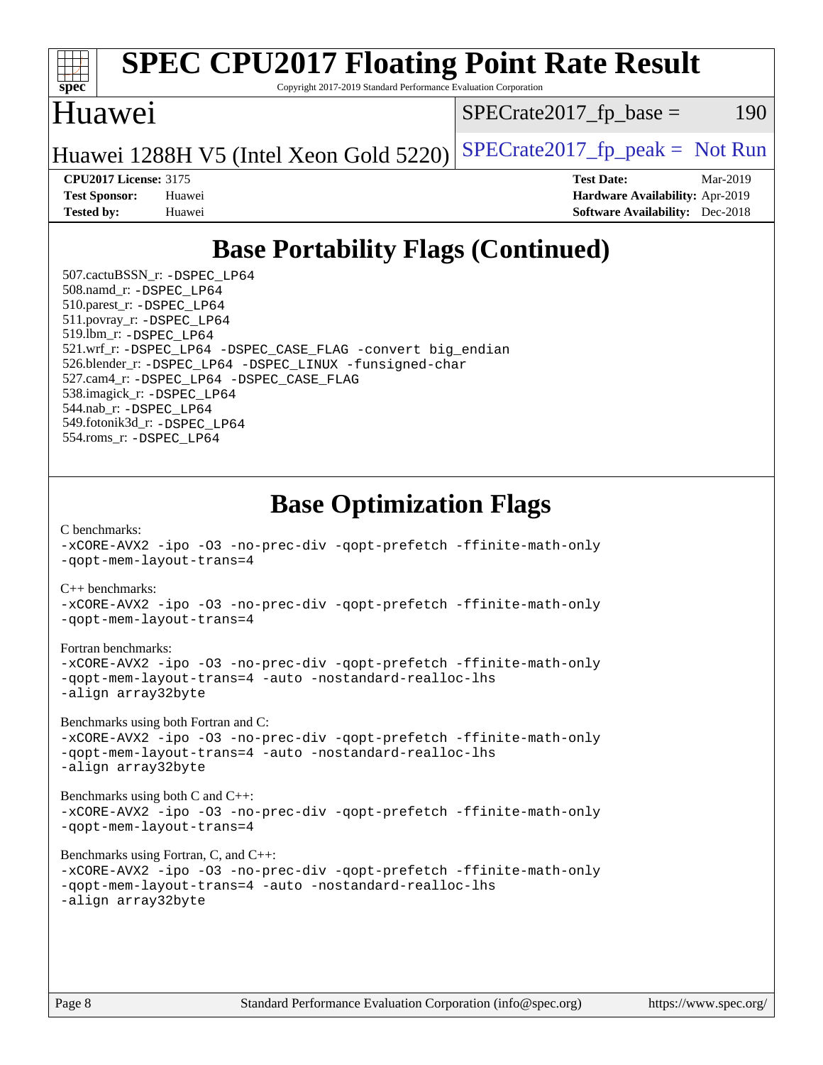

## **[SPEC CPU2017 Floating Point Rate Result](http://www.spec.org/auto/cpu2017/Docs/result-fields.html#SPECCPU2017FloatingPointRateResult)**

Copyright 2017-2019 Standard Performance Evaluation Corporation

## Huawei

 $SPECTate2017<sub>fp</sub> base = 190$ 

Huawei 1288H V5 (Intel Xeon Gold 5220) SPECrate 2017\_fp\_peak = Not Run

**[CPU2017 License:](http://www.spec.org/auto/cpu2017/Docs/result-fields.html#CPU2017License)** 3175 **[Test Date:](http://www.spec.org/auto/cpu2017/Docs/result-fields.html#TestDate)** Mar-2019 **[Test Sponsor:](http://www.spec.org/auto/cpu2017/Docs/result-fields.html#TestSponsor)** Huawei **[Hardware Availability:](http://www.spec.org/auto/cpu2017/Docs/result-fields.html#HardwareAvailability)** Apr-2019 **[Tested by:](http://www.spec.org/auto/cpu2017/Docs/result-fields.html#Testedby)** Huawei **[Software Availability:](http://www.spec.org/auto/cpu2017/Docs/result-fields.html#SoftwareAvailability)** Dec-2018

## **[Base Portability Flags \(Continued\)](http://www.spec.org/auto/cpu2017/Docs/result-fields.html#BasePortabilityFlags)**

 507.cactuBSSN\_r: [-DSPEC\\_LP64](http://www.spec.org/cpu2017/results/res2019q2/cpu2017-20190425-12254.flags.html#suite_basePORTABILITY507_cactuBSSN_r_DSPEC_LP64) 508.namd\_r: [-DSPEC\\_LP64](http://www.spec.org/cpu2017/results/res2019q2/cpu2017-20190425-12254.flags.html#suite_basePORTABILITY508_namd_r_DSPEC_LP64) 510.parest\_r: [-DSPEC\\_LP64](http://www.spec.org/cpu2017/results/res2019q2/cpu2017-20190425-12254.flags.html#suite_basePORTABILITY510_parest_r_DSPEC_LP64) 511.povray\_r: [-DSPEC\\_LP64](http://www.spec.org/cpu2017/results/res2019q2/cpu2017-20190425-12254.flags.html#suite_basePORTABILITY511_povray_r_DSPEC_LP64) 519.lbm\_r: [-DSPEC\\_LP64](http://www.spec.org/cpu2017/results/res2019q2/cpu2017-20190425-12254.flags.html#suite_basePORTABILITY519_lbm_r_DSPEC_LP64) 521.wrf\_r: [-DSPEC\\_LP64](http://www.spec.org/cpu2017/results/res2019q2/cpu2017-20190425-12254.flags.html#suite_basePORTABILITY521_wrf_r_DSPEC_LP64) [-DSPEC\\_CASE\\_FLAG](http://www.spec.org/cpu2017/results/res2019q2/cpu2017-20190425-12254.flags.html#b521.wrf_r_baseCPORTABILITY_DSPEC_CASE_FLAG) [-convert big\\_endian](http://www.spec.org/cpu2017/results/res2019q2/cpu2017-20190425-12254.flags.html#user_baseFPORTABILITY521_wrf_r_convert_big_endian_c3194028bc08c63ac5d04de18c48ce6d347e4e562e8892b8bdbdc0214820426deb8554edfa529a3fb25a586e65a3d812c835984020483e7e73212c4d31a38223) 526.blender\_r: [-DSPEC\\_LP64](http://www.spec.org/cpu2017/results/res2019q2/cpu2017-20190425-12254.flags.html#suite_basePORTABILITY526_blender_r_DSPEC_LP64) [-DSPEC\\_LINUX](http://www.spec.org/cpu2017/results/res2019q2/cpu2017-20190425-12254.flags.html#b526.blender_r_baseCPORTABILITY_DSPEC_LINUX) [-funsigned-char](http://www.spec.org/cpu2017/results/res2019q2/cpu2017-20190425-12254.flags.html#user_baseCPORTABILITY526_blender_r_force_uchar_40c60f00ab013830e2dd6774aeded3ff59883ba5a1fc5fc14077f794d777847726e2a5858cbc7672e36e1b067e7e5c1d9a74f7176df07886a243d7cc18edfe67) 527.cam4\_r: [-DSPEC\\_LP64](http://www.spec.org/cpu2017/results/res2019q2/cpu2017-20190425-12254.flags.html#suite_basePORTABILITY527_cam4_r_DSPEC_LP64) [-DSPEC\\_CASE\\_FLAG](http://www.spec.org/cpu2017/results/res2019q2/cpu2017-20190425-12254.flags.html#b527.cam4_r_baseCPORTABILITY_DSPEC_CASE_FLAG) 538.imagick\_r: [-DSPEC\\_LP64](http://www.spec.org/cpu2017/results/res2019q2/cpu2017-20190425-12254.flags.html#suite_basePORTABILITY538_imagick_r_DSPEC_LP64) 544.nab\_r: [-DSPEC\\_LP64](http://www.spec.org/cpu2017/results/res2019q2/cpu2017-20190425-12254.flags.html#suite_basePORTABILITY544_nab_r_DSPEC_LP64) 549.fotonik3d\_r: [-DSPEC\\_LP64](http://www.spec.org/cpu2017/results/res2019q2/cpu2017-20190425-12254.flags.html#suite_basePORTABILITY549_fotonik3d_r_DSPEC_LP64) 554.roms\_r: [-DSPEC\\_LP64](http://www.spec.org/cpu2017/results/res2019q2/cpu2017-20190425-12254.flags.html#suite_basePORTABILITY554_roms_r_DSPEC_LP64)

## **[Base Optimization Flags](http://www.spec.org/auto/cpu2017/Docs/result-fields.html#BaseOptimizationFlags)**

[C benchmarks](http://www.spec.org/auto/cpu2017/Docs/result-fields.html#Cbenchmarks): [-xCORE-AVX2](http://www.spec.org/cpu2017/results/res2019q2/cpu2017-20190425-12254.flags.html#user_CCbase_f-xCORE-AVX2) [-ipo](http://www.spec.org/cpu2017/results/res2019q2/cpu2017-20190425-12254.flags.html#user_CCbase_f-ipo) [-O3](http://www.spec.org/cpu2017/results/res2019q2/cpu2017-20190425-12254.flags.html#user_CCbase_f-O3) [-no-prec-div](http://www.spec.org/cpu2017/results/res2019q2/cpu2017-20190425-12254.flags.html#user_CCbase_f-no-prec-div) [-qopt-prefetch](http://www.spec.org/cpu2017/results/res2019q2/cpu2017-20190425-12254.flags.html#user_CCbase_f-qopt-prefetch) [-ffinite-math-only](http://www.spec.org/cpu2017/results/res2019q2/cpu2017-20190425-12254.flags.html#user_CCbase_f_finite_math_only_cb91587bd2077682c4b38af759c288ed7c732db004271a9512da14a4f8007909a5f1427ecbf1a0fb78ff2a814402c6114ac565ca162485bbcae155b5e4258871) [-qopt-mem-layout-trans=4](http://www.spec.org/cpu2017/results/res2019q2/cpu2017-20190425-12254.flags.html#user_CCbase_f-qopt-mem-layout-trans_fa39e755916c150a61361b7846f310bcdf6f04e385ef281cadf3647acec3f0ae266d1a1d22d972a7087a248fd4e6ca390a3634700869573d231a252c784941a8) [C++ benchmarks:](http://www.spec.org/auto/cpu2017/Docs/result-fields.html#CXXbenchmarks) [-xCORE-AVX2](http://www.spec.org/cpu2017/results/res2019q2/cpu2017-20190425-12254.flags.html#user_CXXbase_f-xCORE-AVX2) [-ipo](http://www.spec.org/cpu2017/results/res2019q2/cpu2017-20190425-12254.flags.html#user_CXXbase_f-ipo) [-O3](http://www.spec.org/cpu2017/results/res2019q2/cpu2017-20190425-12254.flags.html#user_CXXbase_f-O3) [-no-prec-div](http://www.spec.org/cpu2017/results/res2019q2/cpu2017-20190425-12254.flags.html#user_CXXbase_f-no-prec-div) [-qopt-prefetch](http://www.spec.org/cpu2017/results/res2019q2/cpu2017-20190425-12254.flags.html#user_CXXbase_f-qopt-prefetch) [-ffinite-math-only](http://www.spec.org/cpu2017/results/res2019q2/cpu2017-20190425-12254.flags.html#user_CXXbase_f_finite_math_only_cb91587bd2077682c4b38af759c288ed7c732db004271a9512da14a4f8007909a5f1427ecbf1a0fb78ff2a814402c6114ac565ca162485bbcae155b5e4258871) [-qopt-mem-layout-trans=4](http://www.spec.org/cpu2017/results/res2019q2/cpu2017-20190425-12254.flags.html#user_CXXbase_f-qopt-mem-layout-trans_fa39e755916c150a61361b7846f310bcdf6f04e385ef281cadf3647acec3f0ae266d1a1d22d972a7087a248fd4e6ca390a3634700869573d231a252c784941a8)

#### [Fortran benchmarks](http://www.spec.org/auto/cpu2017/Docs/result-fields.html#Fortranbenchmarks):

[-xCORE-AVX2](http://www.spec.org/cpu2017/results/res2019q2/cpu2017-20190425-12254.flags.html#user_FCbase_f-xCORE-AVX2) [-ipo](http://www.spec.org/cpu2017/results/res2019q2/cpu2017-20190425-12254.flags.html#user_FCbase_f-ipo) [-O3](http://www.spec.org/cpu2017/results/res2019q2/cpu2017-20190425-12254.flags.html#user_FCbase_f-O3) [-no-prec-div](http://www.spec.org/cpu2017/results/res2019q2/cpu2017-20190425-12254.flags.html#user_FCbase_f-no-prec-div) [-qopt-prefetch](http://www.spec.org/cpu2017/results/res2019q2/cpu2017-20190425-12254.flags.html#user_FCbase_f-qopt-prefetch) [-ffinite-math-only](http://www.spec.org/cpu2017/results/res2019q2/cpu2017-20190425-12254.flags.html#user_FCbase_f_finite_math_only_cb91587bd2077682c4b38af759c288ed7c732db004271a9512da14a4f8007909a5f1427ecbf1a0fb78ff2a814402c6114ac565ca162485bbcae155b5e4258871) [-qopt-mem-layout-trans=4](http://www.spec.org/cpu2017/results/res2019q2/cpu2017-20190425-12254.flags.html#user_FCbase_f-qopt-mem-layout-trans_fa39e755916c150a61361b7846f310bcdf6f04e385ef281cadf3647acec3f0ae266d1a1d22d972a7087a248fd4e6ca390a3634700869573d231a252c784941a8) [-auto](http://www.spec.org/cpu2017/results/res2019q2/cpu2017-20190425-12254.flags.html#user_FCbase_f-auto) [-nostandard-realloc-lhs](http://www.spec.org/cpu2017/results/res2019q2/cpu2017-20190425-12254.flags.html#user_FCbase_f_2003_std_realloc_82b4557e90729c0f113870c07e44d33d6f5a304b4f63d4c15d2d0f1fab99f5daaed73bdb9275d9ae411527f28b936061aa8b9c8f2d63842963b95c9dd6426b8a) [-align array32byte](http://www.spec.org/cpu2017/results/res2019q2/cpu2017-20190425-12254.flags.html#user_FCbase_align_array32byte_b982fe038af199962ba9a80c053b8342c548c85b40b8e86eb3cc33dee0d7986a4af373ac2d51c3f7cf710a18d62fdce2948f201cd044323541f22fc0fffc51b6)

[Benchmarks using both Fortran and C](http://www.spec.org/auto/cpu2017/Docs/result-fields.html#BenchmarksusingbothFortranandC):

[-xCORE-AVX2](http://www.spec.org/cpu2017/results/res2019q2/cpu2017-20190425-12254.flags.html#user_CC_FCbase_f-xCORE-AVX2) [-ipo](http://www.spec.org/cpu2017/results/res2019q2/cpu2017-20190425-12254.flags.html#user_CC_FCbase_f-ipo) [-O3](http://www.spec.org/cpu2017/results/res2019q2/cpu2017-20190425-12254.flags.html#user_CC_FCbase_f-O3) [-no-prec-div](http://www.spec.org/cpu2017/results/res2019q2/cpu2017-20190425-12254.flags.html#user_CC_FCbase_f-no-prec-div) [-qopt-prefetch](http://www.spec.org/cpu2017/results/res2019q2/cpu2017-20190425-12254.flags.html#user_CC_FCbase_f-qopt-prefetch) [-ffinite-math-only](http://www.spec.org/cpu2017/results/res2019q2/cpu2017-20190425-12254.flags.html#user_CC_FCbase_f_finite_math_only_cb91587bd2077682c4b38af759c288ed7c732db004271a9512da14a4f8007909a5f1427ecbf1a0fb78ff2a814402c6114ac565ca162485bbcae155b5e4258871) [-qopt-mem-layout-trans=4](http://www.spec.org/cpu2017/results/res2019q2/cpu2017-20190425-12254.flags.html#user_CC_FCbase_f-qopt-mem-layout-trans_fa39e755916c150a61361b7846f310bcdf6f04e385ef281cadf3647acec3f0ae266d1a1d22d972a7087a248fd4e6ca390a3634700869573d231a252c784941a8) [-auto](http://www.spec.org/cpu2017/results/res2019q2/cpu2017-20190425-12254.flags.html#user_CC_FCbase_f-auto) [-nostandard-realloc-lhs](http://www.spec.org/cpu2017/results/res2019q2/cpu2017-20190425-12254.flags.html#user_CC_FCbase_f_2003_std_realloc_82b4557e90729c0f113870c07e44d33d6f5a304b4f63d4c15d2d0f1fab99f5daaed73bdb9275d9ae411527f28b936061aa8b9c8f2d63842963b95c9dd6426b8a) [-align array32byte](http://www.spec.org/cpu2017/results/res2019q2/cpu2017-20190425-12254.flags.html#user_CC_FCbase_align_array32byte_b982fe038af199962ba9a80c053b8342c548c85b40b8e86eb3cc33dee0d7986a4af373ac2d51c3f7cf710a18d62fdce2948f201cd044323541f22fc0fffc51b6)

[Benchmarks using both C and C++](http://www.spec.org/auto/cpu2017/Docs/result-fields.html#BenchmarksusingbothCandCXX): [-xCORE-AVX2](http://www.spec.org/cpu2017/results/res2019q2/cpu2017-20190425-12254.flags.html#user_CC_CXXbase_f-xCORE-AVX2) [-ipo](http://www.spec.org/cpu2017/results/res2019q2/cpu2017-20190425-12254.flags.html#user_CC_CXXbase_f-ipo) [-O3](http://www.spec.org/cpu2017/results/res2019q2/cpu2017-20190425-12254.flags.html#user_CC_CXXbase_f-O3) [-no-prec-div](http://www.spec.org/cpu2017/results/res2019q2/cpu2017-20190425-12254.flags.html#user_CC_CXXbase_f-no-prec-div) [-qopt-prefetch](http://www.spec.org/cpu2017/results/res2019q2/cpu2017-20190425-12254.flags.html#user_CC_CXXbase_f-qopt-prefetch) [-ffinite-math-only](http://www.spec.org/cpu2017/results/res2019q2/cpu2017-20190425-12254.flags.html#user_CC_CXXbase_f_finite_math_only_cb91587bd2077682c4b38af759c288ed7c732db004271a9512da14a4f8007909a5f1427ecbf1a0fb78ff2a814402c6114ac565ca162485bbcae155b5e4258871) [-qopt-mem-layout-trans=4](http://www.spec.org/cpu2017/results/res2019q2/cpu2017-20190425-12254.flags.html#user_CC_CXXbase_f-qopt-mem-layout-trans_fa39e755916c150a61361b7846f310bcdf6f04e385ef281cadf3647acec3f0ae266d1a1d22d972a7087a248fd4e6ca390a3634700869573d231a252c784941a8)

[Benchmarks using Fortran, C, and C++:](http://www.spec.org/auto/cpu2017/Docs/result-fields.html#BenchmarksusingFortranCandCXX)

```
-xCORE-AVX2 -ipo -O3 -no-prec-div -qopt-prefetch -ffinite-math-only
-qopt-mem-layout-trans=4 -auto -nostandard-realloc-lhs
-align array32byte
```